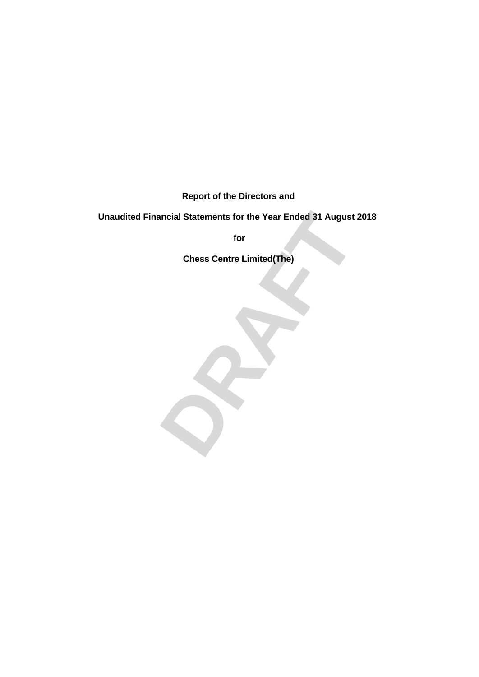**Report of the Directors and**

# Fractional Statements for the Year Ended 31 August 2018<br>for<br>Chess Centre Limited(The)<br>**DRAFT Unaudited Financial Statements for the Year Ended 31 August 2018**

**for**

**Chess Centre Limited(The)**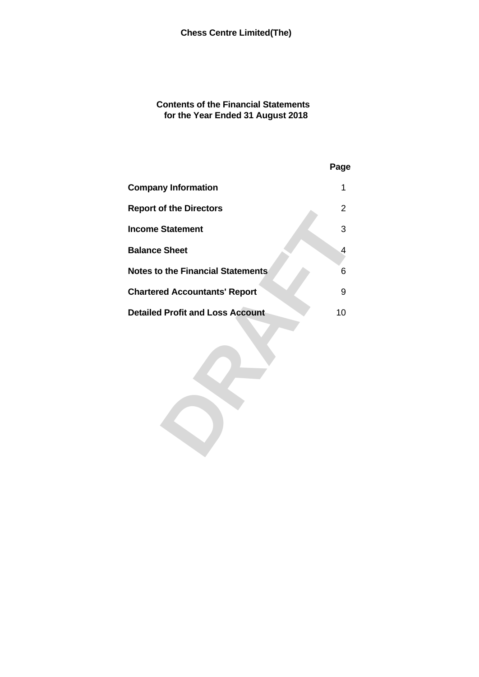# **Contents of the Financial Statements for the Year Ended 31 August 2018**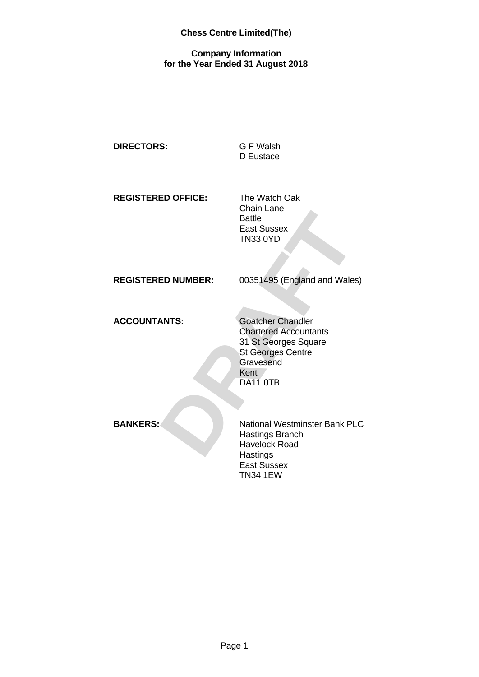# **Company Information for the Year Ended 31 August 2018**

| <b>DIRECTORS:</b> | G F Walsh |  |
|-------------------|-----------|--|
|                   | D Eustace |  |
|                   |           |  |
|                   |           |  |

**REGISTERED OFFICE:** The Watch Oak

Chain Lane Battle East Sussex TN33 0YD

**REGISTERED NUMBER:** 00351495 (England and Wales)

ACCOUNTANTS: Goatcher Chandler

Battle<br>
East Sussex<br>
TN33 0YD<br> **ED NUMBER:**<br>
00351495 (England and Wales)<br>
ANTS:<br>
Coatcher Chandler<br>
Chartered Accountants<br>
31 St Georges Centre<br>
St Georges Centre<br>
Gravesend<br>
Kent<br>
DA11 0TB<br>
National Westminster Bank PLC<br> Chartered Accountants 31 St Georges Square St Georges Centre **Gravesend** Kent / DA11 0TB

**BANKERS:** National Westminster Bank PLC Hastings Branch Havelock Road **Hastings** East Sussex TN34 1EW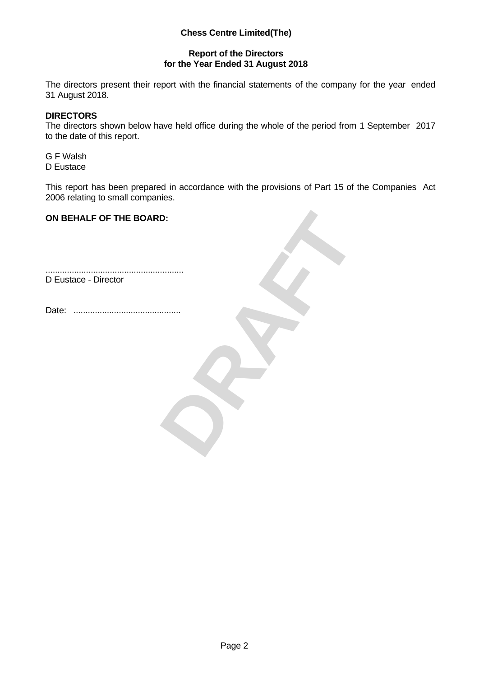# **Report of the Directors for the Year Ended 31 August 2018**

The directors present their report with the financial statements of the company for the year ended 31 August 2018.

## **DIRECTORS**

The directors shown below have held office during the whole of the period from 1 September 2017 to the date of this report.

G F Walsh D Eustace

This report has been prepared in accordance with the provisions of Part 15 of the Companies Act 2006 relating to small companies.

## **ON BEHALF OF THE BOARD:**

BRAFT .......................................................... D Eustace - Director

Date: .............................................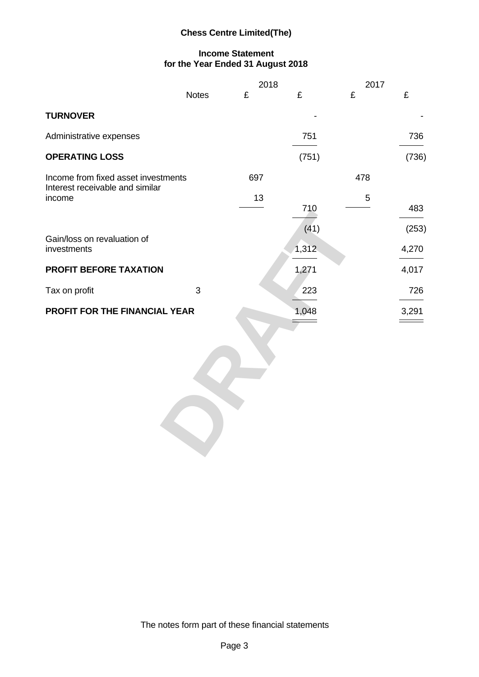# **Income Statement for the Year Ended 31 August 2018**

| £<br><b>Notes</b><br>£<br>£<br><b>TURNOVER</b><br>$\sim$<br>Administrative expenses<br>751<br><b>OPERATING LOSS</b><br>(751)<br>697<br>478<br>Income from fixed asset investments<br>Interest receivable and similar<br>13<br>income<br>-5<br>710<br>and the control of the control of | $\pounds$<br>$\sim$ $-$<br>736<br>the control of the control of the<br>(736)<br>483 |
|----------------------------------------------------------------------------------------------------------------------------------------------------------------------------------------------------------------------------------------------------------------------------------------|-------------------------------------------------------------------------------------|
|                                                                                                                                                                                                                                                                                        |                                                                                     |
|                                                                                                                                                                                                                                                                                        |                                                                                     |
|                                                                                                                                                                                                                                                                                        |                                                                                     |
|                                                                                                                                                                                                                                                                                        |                                                                                     |
|                                                                                                                                                                                                                                                                                        |                                                                                     |
| (41)<br>Gain/loss on revaluation of<br>investments<br>1,312<br><b>Contract Contract Contract</b>                                                                                                                                                                                       | (253)<br>4,270                                                                      |
| PROFIT BEFORE TAXATION<br>1,271                                                                                                                                                                                                                                                        | 4,017                                                                               |
| Tax on profit<br>$\overline{\mathbf{3}}$<br>223                                                                                                                                                                                                                                        | 726<br>$\overbrace{\hspace{25mm}}^{}$                                               |
| PROFIT FOR THE FINANCIAL YEAR<br>1,048<br>$\qquad \qquad =$                                                                                                                                                                                                                            | 3,291<br>$\qquad \qquad =$                                                          |

The notes form part of these financial statements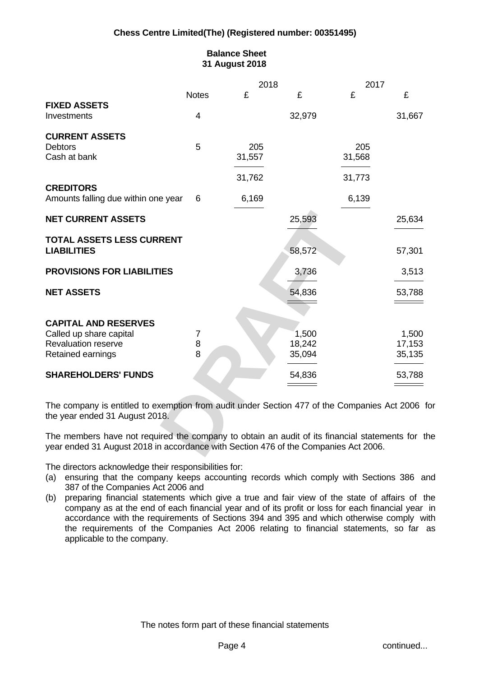# **Balance Sheet 31 August 2018**

| <b>Notes</b><br><b>FIXED ASSETS</b><br>32,979<br>Investments<br>4<br><b>CURRENT ASSETS</b><br>205<br>205<br>$5^{\circ}$<br>31,568<br>31,557<br>and the control of the control of<br>31,762<br>31,773<br>6,139<br>6,169<br>$\frac{1}{2} \left( \frac{1}{2} \right) \left( \frac{1}{2} \right) \left( \frac{1}{2} \right) \left( \frac{1}{2} \right) \left( \frac{1}{2} \right) \left( \frac{1}{2} \right) \left( \frac{1}{2} \right) \left( \frac{1}{2} \right) \left( \frac{1}{2} \right) \left( \frac{1}{2} \right) \left( \frac{1}{2} \right) \left( \frac{1}{2} \right) \left( \frac{1}{2} \right) \left( \frac{1}{2} \right) \left( \frac{1}{2} \right) \left( \frac{1}{2} \right) \left( \frac$<br>25,593<br>58,572<br>3,736<br>the contract of the contract of<br>54,836<br>________<br>1,500<br>18,242<br>35,094<br>$\overline{\phantom{a}}$<br>54,836<br>$\qquad \qquad =$ |  | 2018 | 2017 |                                |
|------------------------------------------------------------------------------------------------------------------------------------------------------------------------------------------------------------------------------------------------------------------------------------------------------------------------------------------------------------------------------------------------------------------------------------------------------------------------------------------------------------------------------------------------------------------------------------------------------------------------------------------------------------------------------------------------------------------------------------------------------------------------------------------------------------------------------------------------------------------------------------|--|------|------|--------------------------------|
|                                                                                                                                                                                                                                                                                                                                                                                                                                                                                                                                                                                                                                                                                                                                                                                                                                                                                    |  |      |      |                                |
|                                                                                                                                                                                                                                                                                                                                                                                                                                                                                                                                                                                                                                                                                                                                                                                                                                                                                    |  |      |      |                                |
|                                                                                                                                                                                                                                                                                                                                                                                                                                                                                                                                                                                                                                                                                                                                                                                                                                                                                    |  |      |      | 31,667                         |
| Debtors<br>Cash at bank<br><b>CREDITORS</b><br>Amounts falling due within one year 6<br><b>NET CURRENT ASSETS</b><br><b>TOTAL ASSETS LESS CURRENT</b><br><b>LIABILITIES</b><br><b>PROVISIONS FOR LIABILITIES</b><br><b>NET ASSETS</b><br><b>CAPITAL AND RESERVES</b><br>Called up share capital<br><b>Revaluation reserve</b><br>Retained earnings<br><b>SHAREHOLDERS' FUNDS</b><br>The company is entitled to exemption from audit under Section 477 of the Companies Act 2006 for<br>the year ended 31 August 2018.<br>The members have not required the company to obtain an audit of its financial statements for the                                                                                                                                                                                                                                                          |  |      |      |                                |
|                                                                                                                                                                                                                                                                                                                                                                                                                                                                                                                                                                                                                                                                                                                                                                                                                                                                                    |  |      |      |                                |
|                                                                                                                                                                                                                                                                                                                                                                                                                                                                                                                                                                                                                                                                                                                                                                                                                                                                                    |  |      |      |                                |
|                                                                                                                                                                                                                                                                                                                                                                                                                                                                                                                                                                                                                                                                                                                                                                                                                                                                                    |  |      |      |                                |
|                                                                                                                                                                                                                                                                                                                                                                                                                                                                                                                                                                                                                                                                                                                                                                                                                                                                                    |  |      |      |                                |
|                                                                                                                                                                                                                                                                                                                                                                                                                                                                                                                                                                                                                                                                                                                                                                                                                                                                                    |  |      |      |                                |
|                                                                                                                                                                                                                                                                                                                                                                                                                                                                                                                                                                                                                                                                                                                                                                                                                                                                                    |  |      |      |                                |
|                                                                                                                                                                                                                                                                                                                                                                                                                                                                                                                                                                                                                                                                                                                                                                                                                                                                                    |  |      |      |                                |
|                                                                                                                                                                                                                                                                                                                                                                                                                                                                                                                                                                                                                                                                                                                                                                                                                                                                                    |  |      |      | 25,634                         |
|                                                                                                                                                                                                                                                                                                                                                                                                                                                                                                                                                                                                                                                                                                                                                                                                                                                                                    |  |      |      |                                |
|                                                                                                                                                                                                                                                                                                                                                                                                                                                                                                                                                                                                                                                                                                                                                                                                                                                                                    |  |      |      |                                |
|                                                                                                                                                                                                                                                                                                                                                                                                                                                                                                                                                                                                                                                                                                                                                                                                                                                                                    |  |      |      | 57,301                         |
|                                                                                                                                                                                                                                                                                                                                                                                                                                                                                                                                                                                                                                                                                                                                                                                                                                                                                    |  |      |      |                                |
|                                                                                                                                                                                                                                                                                                                                                                                                                                                                                                                                                                                                                                                                                                                                                                                                                                                                                    |  |      |      | 3,513                          |
|                                                                                                                                                                                                                                                                                                                                                                                                                                                                                                                                                                                                                                                                                                                                                                                                                                                                                    |  |      |      |                                |
|                                                                                                                                                                                                                                                                                                                                                                                                                                                                                                                                                                                                                                                                                                                                                                                                                                                                                    |  |      |      | 53,788                         |
|                                                                                                                                                                                                                                                                                                                                                                                                                                                                                                                                                                                                                                                                                                                                                                                                                                                                                    |  |      |      |                                |
|                                                                                                                                                                                                                                                                                                                                                                                                                                                                                                                                                                                                                                                                                                                                                                                                                                                                                    |  |      |      |                                |
|                                                                                                                                                                                                                                                                                                                                                                                                                                                                                                                                                                                                                                                                                                                                                                                                                                                                                    |  |      |      | 1,500                          |
|                                                                                                                                                                                                                                                                                                                                                                                                                                                                                                                                                                                                                                                                                                                                                                                                                                                                                    |  |      |      | 17,153                         |
|                                                                                                                                                                                                                                                                                                                                                                                                                                                                                                                                                                                                                                                                                                                                                                                                                                                                                    |  |      |      | 35,135                         |
|                                                                                                                                                                                                                                                                                                                                                                                                                                                                                                                                                                                                                                                                                                                                                                                                                                                                                    |  |      |      | $\overbrace{\hspace{25mm}}^{}$ |
|                                                                                                                                                                                                                                                                                                                                                                                                                                                                                                                                                                                                                                                                                                                                                                                                                                                                                    |  |      |      | 53,788                         |
|                                                                                                                                                                                                                                                                                                                                                                                                                                                                                                                                                                                                                                                                                                                                                                                                                                                                                    |  |      |      | $\qquad \qquad =$              |
|                                                                                                                                                                                                                                                                                                                                                                                                                                                                                                                                                                                                                                                                                                                                                                                                                                                                                    |  |      |      |                                |
|                                                                                                                                                                                                                                                                                                                                                                                                                                                                                                                                                                                                                                                                                                                                                                                                                                                                                    |  |      |      |                                |
|                                                                                                                                                                                                                                                                                                                                                                                                                                                                                                                                                                                                                                                                                                                                                                                                                                                                                    |  |      |      |                                |
|                                                                                                                                                                                                                                                                                                                                                                                                                                                                                                                                                                                                                                                                                                                                                                                                                                                                                    |  |      |      |                                |
|                                                                                                                                                                                                                                                                                                                                                                                                                                                                                                                                                                                                                                                                                                                                                                                                                                                                                    |  |      |      |                                |
| year ended 31 August 2018 in accordance with Section 476 of the Companies Act 2006.                                                                                                                                                                                                                                                                                                                                                                                                                                                                                                                                                                                                                                                                                                                                                                                                |  |      |      |                                |

The directors acknowledge their responsibilities for:

- (a) ensuring that the company keeps accounting records which comply with Sections 386 and 387 of the Companies Act 2006 and
- (b) preparing financial statements which give a true and fair view of the state of affairs of the company as at the end of each financial year and of its profit or loss for each financial year in accordance with the requirements of Sections 394 and 395 and which otherwise comply with the requirements of the Companies Act 2006 relating to financial statements, so far as applicable to the company.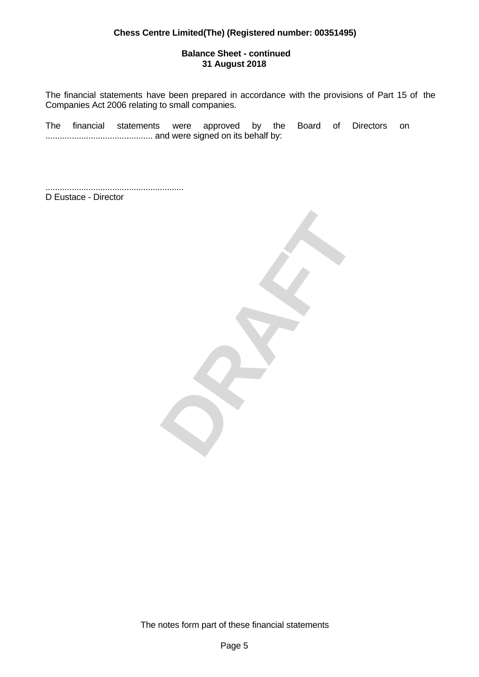## **Balance Sheet - continued 31 August 2018**

The financial statements have been prepared in accordance with the provisions of Part 15 of the Companies Act 2006 relating to small companies.

The financial statements were approved by the Board of Directors on ............................................. and were signed on its behalf by:

.......................................................... D Eustace - Director



The notes form part of these financial statements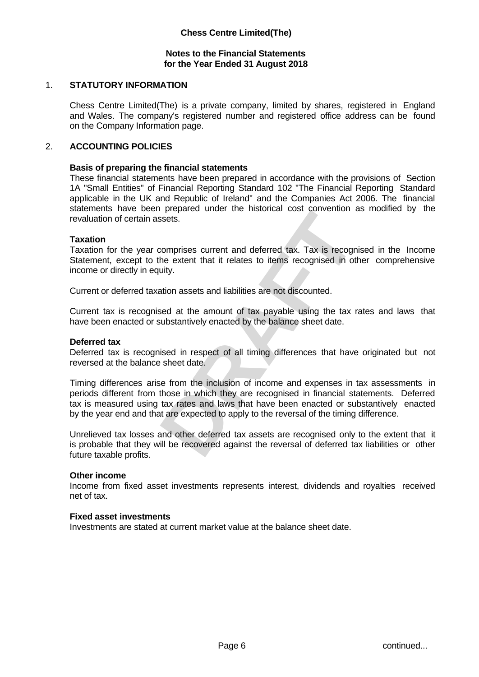## **Notes to the Financial Statements for the Year Ended 31 August 2018**

# 1. **STATUTORY INFORMATION**

Chess Centre Limited(The) is a private company, limited by shares, registered in England and Wales. The company's registered number and registered office address can be found on the Company Information page.

### 2. **ACCOUNTING POLICIES**

#### **Basis of preparing the financial statements**

These financial statements have been prepared in accordance with the provisions of Section 1A "Small Entities" of Financial Reporting Standard 102 "The Financial Reporting Standard applicable in the UK and Republic of Ireland" and the Companies Act 2006. The financial statements have been prepared under the historical cost convention as modified by the revaluation of certain assets.

### **Taxation**

Taxation for the year comprises current and deferred tax. Tax is recognised in the Income Statement, except to the extent that it relates to items recognised in other comprehensive income or directly in equity.

Current or deferred taxation assets and liabilities are not discounted.

Current tax is recognised at the amount of tax payable using the tax rates and laws that have been enacted or substantively enacted by the balance sheet date.

#### **Deferred tax**

Deferred tax is recognised in respect of all timing differences that have originated but not reversed at the balance sheet date.

reference under the instollation cost conveniuon as intoined by the<br>
persects.<br>
comprises current and deferred tax. Tax is recognised in the Income<br>
the extent that it relates to items recognised in other comprehensive<br>
ui Timing differences arise from the inclusion of income and expenses in tax assessments in periods different from those in which they are recognised in financial statements. Deferred tax is measured using tax rates and laws that have been enacted or substantively enacted by the year end and that are expected to apply to the reversal of the timing difference.

Unrelieved tax losses and other deferred tax assets are recognised only to the extent that it is probable that they will be recovered against the reversal of deferred tax liabilities or other future taxable profits.

#### **Other income**

Income from fixed asset investments represents interest, dividends and royalties received net of tax.

#### **Fixed asset investments**

Investments are stated at current market value at the balance sheet date.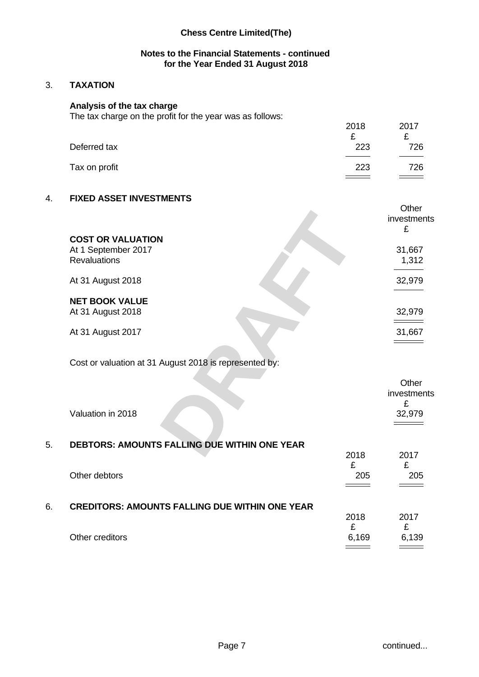## **Notes to the Financial Statements - continued for the Year Ended 31 August 2018**

# 3. **TAXATION**

### **Analysis of the tax charge**

The tax charge on the profit for the year was as follows:

| Deferred tax  | 2018<br>₽<br>223 | 2017<br>⌒<br>-<br>726       |  |
|---------------|------------------|-----------------------------|--|
| Tax on profit | 223<br>$=$ $-$   | 726<br>$\sim$ $\sim$ $\sim$ |  |

# 4. **FIXED ASSET INVESTMENTS**

|                                                        | <b>UUL</b>                                   |
|--------------------------------------------------------|----------------------------------------------|
|                                                        | investments                                  |
|                                                        |                                              |
|                                                        |                                              |
| <b>COST OR VALUATION</b>                               |                                              |
| At 1 September 2017                                    | 31,667                                       |
| Revaluations                                           | 1,312                                        |
|                                                        | the control of the control of the control of |
|                                                        |                                              |
| At 31 August 2018                                      | 32,979                                       |
|                                                        |                                              |
| <b>NET BOOK VALUE</b>                                  |                                              |
|                                                        |                                              |
| At 31 August 2018                                      | 32,979                                       |
|                                                        | $\qquad \qquad \overbrace{\qquad \qquad }$   |
| At 31 August 2017                                      | 31,667                                       |
|                                                        | $\qquad \qquad =$                            |
|                                                        |                                              |
|                                                        |                                              |
| Cost or valuation at 31 August 2018 is represented by: |                                              |
|                                                        |                                              |
|                                                        |                                              |
|                                                        | Other                                        |
|                                                        | investments                                  |
|                                                        |                                              |
| Valuation in 2018                                      | 32,979                                       |
|                                                        | $\qquad \qquad \qquad =\qquad \qquad$        |
|                                                        |                                              |
|                                                        |                                              |
| DEBTORS: AMOUNTS FALLING DUE WITHIN ONE YEAR           |                                              |
|                                                        | 2017<br>2018                                 |
|                                                        |                                              |

# Cost or valuation at 31 August 2018 is represented by:

|    | Valuation in 2018                                     |            | Other<br>investments<br>32,979 |
|----|-------------------------------------------------------|------------|--------------------------------|
| 5. | <b>DEBTORS: AMOUNTS FALLING DUE WITHIN ONE YEAR</b>   | 2018       | 2017                           |
|    | Other debtors                                         | £<br>205   | £<br>205                       |
| 6. | <b>CREDITORS: AMOUNTS FALLING DUE WITHIN ONE YEAR</b> | 2018       | 2017                           |
|    | Other creditors                                       | £<br>6,169 | £<br>6,139                     |

 $Q<sub>thor</sub>$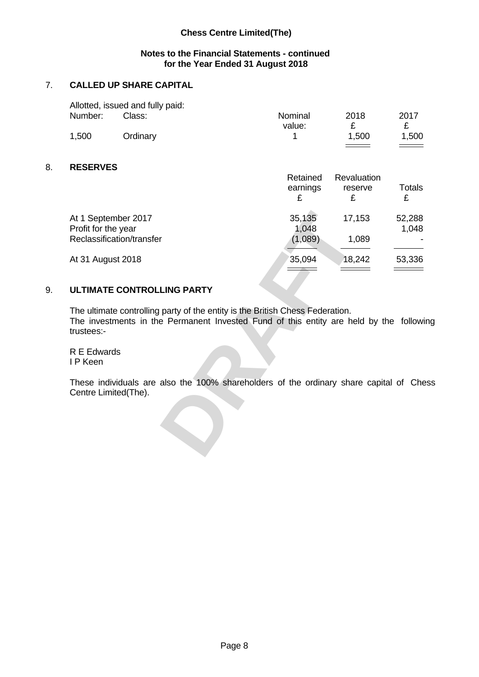# **Notes to the Financial Statements - continued for the Year Ended 31 August 2018**

# 7. **CALLED UP SHARE CAPITAL**

|         | Allotted, issued and fully paid: |         |       |      |  |
|---------|----------------------------------|---------|-------|------|--|
| Number: | Class:                           | Nominal | 2018  | 2017 |  |
|         |                                  | value:  |       | -    |  |
| 1,500   | <b>Ordinary</b>                  |         | 1,500 | .500 |  |
|         |                                  |         |       |      |  |

# 8. **RESERVES**

|                                                                                                                                                                                                                   | Retained<br>earnings        | Revaluation<br>reserve                       | Totals                                        |
|-------------------------------------------------------------------------------------------------------------------------------------------------------------------------------------------------------------------|-----------------------------|----------------------------------------------|-----------------------------------------------|
| At 1 September 2017                                                                                                                                                                                               |                             | 17,153                                       | 52,288                                        |
| Profit for the year                                                                                                                                                                                               | 35,135<br>1,048             |                                              | 1,048                                         |
| Reclassification/transfer                                                                                                                                                                                         | (1,089)                     | 1,089<br>the contract of the contract of the | <b>.</b><br>and the control of the control of |
| At 31 August 2018                                                                                                                                                                                                 | 35,094<br>$\qquad \qquad =$ | 18,242<br><u> — — —</u>                      | 53,336<br>$\qquad \qquad =$                   |
| ULTIMATE CONTROLLING PARTY                                                                                                                                                                                        |                             |                                              |                                               |
| The ultimate controlling party of the entity is the British Chess Federation.<br>The investments in the Permanent Invested Fund of this entity are held by the following<br>trustees:-<br>R E Edwards<br>I P Keen |                             |                                              |                                               |
| These individuals are also the 100% shareholders of the ordinary share capital of Chess<br>Centre Limited(The).                                                                                                   |                             |                                              |                                               |

# 9. **ULTIMATE CONTROLLING PARTY**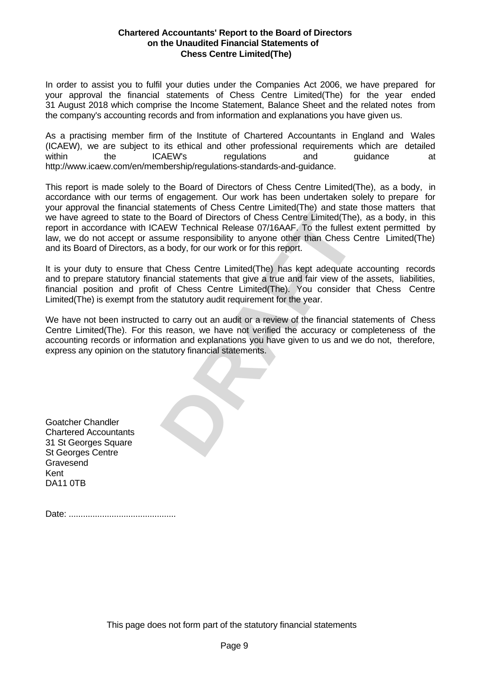#### **Chartered Accountants' Report to the Board of Directors on the Unaudited Financial Statements of Chess Centre Limited(The)**

In order to assist you to fulfil your duties under the Companies Act 2006, we have prepared for your approval the financial statements of Chess Centre Limited(The) for the year ended 31 August 2018 which comprise the Income Statement, Balance Sheet and the related notes from the company's accounting records and from information and explanations you have given us.

As a practising member firm of the Institute of Chartered Accountants in England and Wales (ICAEW), we are subject to its ethical and other professional requirements which are detailed within the ICAEW's regulations and guidance at http://www.icaew.com/en/membership/regulations-standards-and-guidance.

actionary of Directors of Chess Centre Limited(The), as a body, in this<br>Re Board of Directors of Chess Centre Limited(The), as a body, in this<br>AEW Technical Release 07/16AAF. To the fullest extent permitted by<br>a hody, for This report is made solely to the Board of Directors of Chess Centre Limited(The), as a body, in accordance with our terms of engagement. Our work has been undertaken solely to prepare for your approval the financial statements of Chess Centre Limited(The) and state those matters that we have agreed to state to the Board of Directors of Chess Centre Limited(The), as a body, in this report in accordance with ICAEW Technical Release 07/16AAF. To the fullest extent permitted by law, we do not accept or assume responsibility to anyone other than Chess Centre Limited(The) and its Board of Directors, as a body, for our work or for this report.

It is your duty to ensure that Chess Centre Limited(The) has kept adequate accounting records and to prepare statutory financial statements that give a true and fair view of the assets, liabilities, financial position and profit of Chess Centre Limited(The). You consider that Chess Centre Limited(The) is exempt from the statutory audit requirement for the year.

We have not been instructed to carry out an audit or a review of the financial statements of Chess Centre Limited(The). For this reason, we have not verified the accuracy or completeness of the accounting records or information and explanations you have given to us and we do not, therefore, express any opinion on the statutory financial statements.

Goatcher Chandler Chartered Accountants 31 St Georges Square St Georges Centre Gravesend Kent DA11 0TB

Date: .............................................